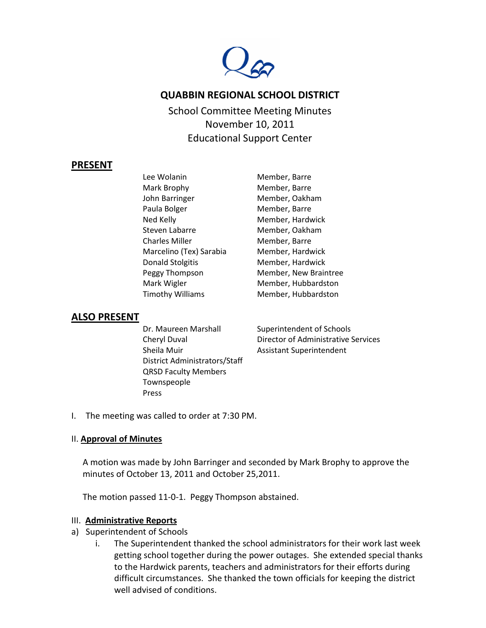

# **QUABBIN REGIONAL SCHOOL DISTRICT**

School Committee Meeting Minutes November 10, 2011 Educational Support Center

### **PRESENT**

Lee Wolanin Member, Barre Mark Brophy Member, Barre John Barringer Member, Oakham Paula Bolger Member, Barre Ned Kelly **Member**, Hardwick Steven Labarre Member, Oakham Charles Miller Member, Barre Marcelino (Tex) Sarabia Member, Hardwick Donald Stolgitis Member, Hardwick Mark Wigler Member, Hubbardston Timothy Williams Member, Hubbardston

Peggy Thompson Member, New Braintree

### **ALSO PRESENT**

Dr. Maureen Marshall Superintendent of Schools Cheryl Duval Director of Administrative Services Sheila Muir **Assistant Superintendent** District Administrators/Staff QRSD Faculty Members Townspeople Press

I. The meeting was called to order at 7:30 PM.

### II. **Approval of Minutes**

A motion was made by John Barringer and seconded by Mark Brophy to approve the minutes of October 13, 2011 and October 25,2011.

The motion passed 11-0-1. Peggy Thompson abstained.

### III. **Administrative Reports**

- a) Superintendent of Schools
	- i. The Superintendent thanked the school administrators for their work last week getting school together during the power outages. She extended special thanks to the Hardwick parents, teachers and administrators for their efforts during difficult circumstances. She thanked the town officials for keeping the district well advised of conditions.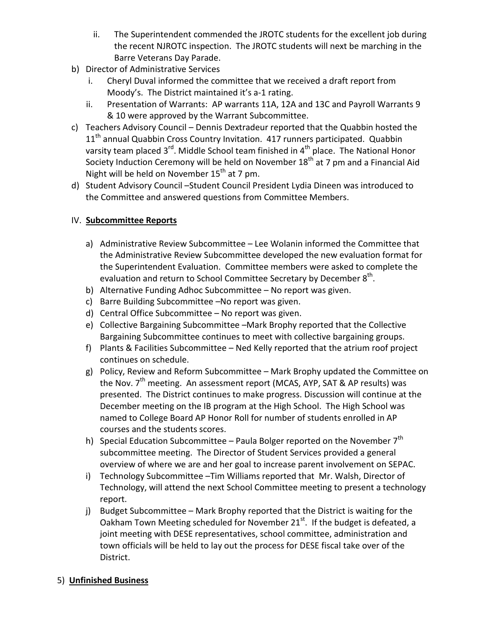- ii. The Superintendent commended the JROTC students for the excellent job during the recent NJROTC inspection. The JROTC students will next be marching in the Barre Veterans Day Parade.
- b) Director of Administrative Services
	- i. Cheryl Duval informed the committee that we received a draft report from Moody's. The District maintained it's a-1 rating.
	- ii. Presentation of Warrants: AP warrants 11A, 12A and 13C and Payroll Warrants 9 & 10 were approved by the Warrant Subcommittee.
- c) Teachers Advisory Council Dennis Dextradeur reported that the Quabbin hosted the 11<sup>th</sup> annual Quabbin Cross Country Invitation. 417 runners participated. Quabbin varsity team placed  $3^{rd}$ . Middle School team finished in  $4^{th}$  place. The National Honor Society Induction Ceremony will be held on November  $18<sup>th</sup>$  at 7 pm and a Financial Aid Night will be held on November  $15<sup>th</sup>$  at 7 pm.
- d) Student Advisory Council –Student Council President Lydia Dineen was introduced to the Committee and answered questions from Committee Members.

# IV. **Subcommittee Reports**

- a) Administrative Review Subcommittee Lee Wolanin informed the Committee that the Administrative Review Subcommittee developed the new evaluation format for the Superintendent Evaluation. Committee members were asked to complete the evaluation and return to School Committee Secretary by December  $8<sup>th</sup>$ .
- b) Alternative Funding Adhoc Subcommittee No report was given.
- c) Barre Building Subcommittee –No report was given.
- d) Central Office Subcommittee No report was given.
- e) Collective Bargaining Subcommittee –Mark Brophy reported that the Collective Bargaining Subcommittee continues to meet with collective bargaining groups.
- f) Plants & Facilities Subcommittee Ned Kelly reported that the atrium roof project continues on schedule.
- g) Policy, Review and Reform Subcommittee Mark Brophy updated the Committee on the Nov. 7<sup>th</sup> meeting. An assessment report (MCAS, AYP, SAT & AP results) was presented. The District continues to make progress. Discussion will continue at the December meeting on the IB program at the High School. The High School was named to College Board AP Honor Roll for number of students enrolled in AP courses and the students scores.
- h) Special Education Subcommittee Paula Bolger reported on the November  $7<sup>th</sup>$ subcommittee meeting. The Director of Student Services provided a general overview of where we are and her goal to increase parent involvement on SEPAC.
- i) Technology Subcommittee –Tim Williams reported that Mr. Walsh, Director of Technology, will attend the next School Committee meeting to present a technology report.
- j) Budget Subcommittee Mark Brophy reported that the District is waiting for the Oakham Town Meeting scheduled for November  $21^{st}$ . If the budget is defeated, a joint meeting with DESE representatives, school committee, administration and town officials will be held to lay out the process for DESE fiscal take over of the District.

# 5) **Unfinished Business**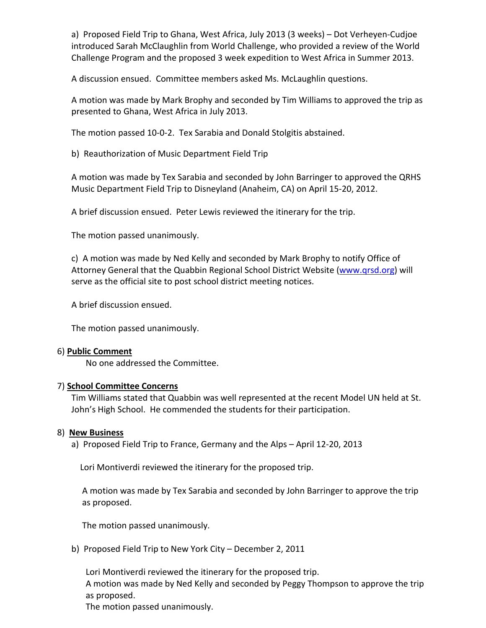a) Proposed Field Trip to Ghana, West Africa, July 2013 (3 weeks) – Dot Verheyen-Cudjoe introduced Sarah McClaughlin from World Challenge, who provided a review of the World Challenge Program and the proposed 3 week expedition to West Africa in Summer 2013.

A discussion ensued. Committee members asked Ms. McLaughlin questions.

A motion was made by Mark Brophy and seconded by Tim Williams to approved the trip as presented to Ghana, West Africa in July 2013.

The motion passed 10-0-2. Tex Sarabia and Donald Stolgitis abstained.

b) Reauthorization of Music Department Field Trip

A motion was made by Tex Sarabia and seconded by John Barringer to approved the QRHS Music Department Field Trip to Disneyland (Anaheim, CA) on April 15-20, 2012.

A brief discussion ensued. Peter Lewis reviewed the itinerary for the trip.

The motion passed unanimously.

c) A motion was made by Ned Kelly and seconded by Mark Brophy to notify Office of Attorney General that the Quabbin Regional School District Website [\(www.qrsd.org\)](http://www.qrsd.org/) will serve as the official site to post school district meeting notices.

A brief discussion ensued.

The motion passed unanimously.

### 6) **Public Comment**

No one addressed the Committee.

### 7) **School Committee Concerns**

Tim Williams stated that Quabbin was well represented at the recent Model UN held at St. John's High School. He commended the students for their participation.

### 8) **New Business**

a) Proposed Field Trip to France, Germany and the Alps – April 12-20, 2013

Lori Montiverdi reviewed the itinerary for the proposed trip.

A motion was made by Tex Sarabia and seconded by John Barringer to approve the trip as proposed.

The motion passed unanimously.

b) Proposed Field Trip to New York City – December 2, 2011

Lori Montiverdi reviewed the itinerary for the proposed trip. A motion was made by Ned Kelly and seconded by Peggy Thompson to approve the trip as proposed.

The motion passed unanimously.